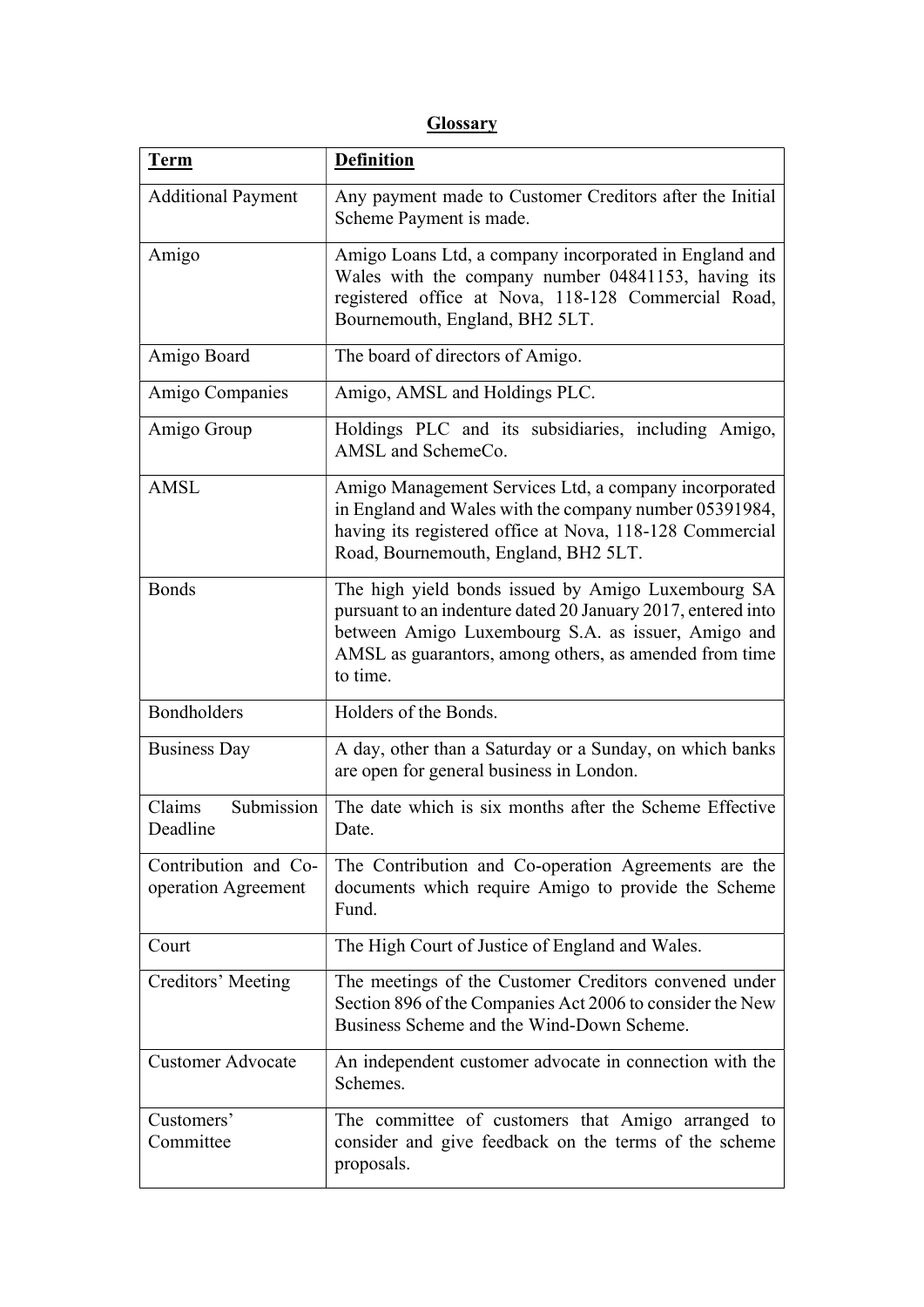## **Glossary**

| <b>Term</b>                                 | <b>Definition</b>                                                                                                                                                                                                                              |  |
|---------------------------------------------|------------------------------------------------------------------------------------------------------------------------------------------------------------------------------------------------------------------------------------------------|--|
| <b>Additional Payment</b>                   | Any payment made to Customer Creditors after the Initial<br>Scheme Payment is made.                                                                                                                                                            |  |
| Amigo                                       | Amigo Loans Ltd, a company incorporated in England and<br>Wales with the company number 04841153, having its<br>registered office at Nova, 118-128 Commercial Road,<br>Bournemouth, England, BH2 5LT.                                          |  |
| Amigo Board                                 | The board of directors of Amigo.                                                                                                                                                                                                               |  |
| Amigo Companies                             | Amigo, AMSL and Holdings PLC.                                                                                                                                                                                                                  |  |
| Amigo Group                                 | Holdings PLC and its subsidiaries, including Amigo,<br>AMSL and SchemeCo.                                                                                                                                                                      |  |
| <b>AMSL</b>                                 | Amigo Management Services Ltd, a company incorporated<br>in England and Wales with the company number 05391984,<br>having its registered office at Nova, 118-128 Commercial<br>Road, Bournemouth, England, BH2 5LT.                            |  |
| <b>Bonds</b>                                | The high yield bonds issued by Amigo Luxembourg SA<br>pursuant to an indenture dated 20 January 2017, entered into<br>between Amigo Luxembourg S.A. as issuer, Amigo and<br>AMSL as guarantors, among others, as amended from time<br>to time. |  |
| Bondholders                                 | Holders of the Bonds.                                                                                                                                                                                                                          |  |
| <b>Business Day</b>                         | A day, other than a Saturday or a Sunday, on which banks<br>are open for general business in London.                                                                                                                                           |  |
| Submission<br>Claims<br>Deadline            | The date which is six months after the Scheme Effective<br>Date.                                                                                                                                                                               |  |
| Contribution and Co-<br>operation Agreement | The Contribution and Co-operation Agreements are the<br>documents which require Amigo to provide the Scheme<br>Fund.                                                                                                                           |  |
| Court                                       | The High Court of Justice of England and Wales.                                                                                                                                                                                                |  |
| Creditors' Meeting                          | The meetings of the Customer Creditors convened under<br>Section 896 of the Companies Act 2006 to consider the New<br>Business Scheme and the Wind-Down Scheme.                                                                                |  |
| <b>Customer Advocate</b>                    | An independent customer advocate in connection with the<br>Schemes.                                                                                                                                                                            |  |
| Customers'<br>Committee                     | The committee of customers that Amigo arranged to<br>consider and give feedback on the terms of the scheme<br>proposals.                                                                                                                       |  |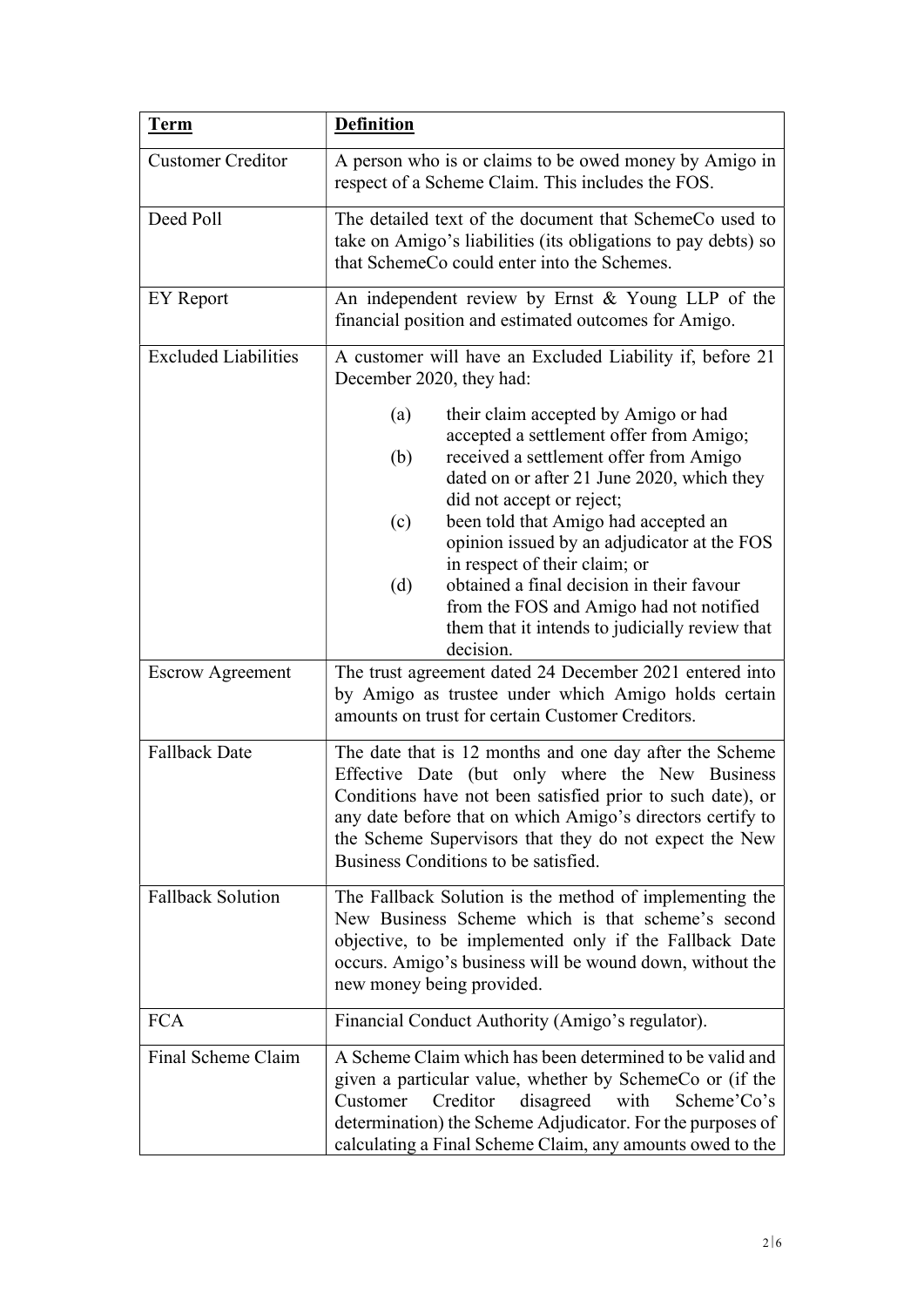| <b>Term</b>                 | <b>Definition</b>                                                                                                                                                                                                                                                                                                                                                                                                                                                                                               |  |
|-----------------------------|-----------------------------------------------------------------------------------------------------------------------------------------------------------------------------------------------------------------------------------------------------------------------------------------------------------------------------------------------------------------------------------------------------------------------------------------------------------------------------------------------------------------|--|
| <b>Customer Creditor</b>    | A person who is or claims to be owed money by Amigo in<br>respect of a Scheme Claim. This includes the FOS.                                                                                                                                                                                                                                                                                                                                                                                                     |  |
| Deed Poll                   | The detailed text of the document that SchemeCo used to<br>take on Amigo's liabilities (its obligations to pay debts) so<br>that SchemeCo could enter into the Schemes.                                                                                                                                                                                                                                                                                                                                         |  |
| EY Report                   | An independent review by Ernst & Young LLP of the<br>financial position and estimated outcomes for Amigo.                                                                                                                                                                                                                                                                                                                                                                                                       |  |
| <b>Excluded Liabilities</b> | A customer will have an Excluded Liability if, before 21<br>December 2020, they had:                                                                                                                                                                                                                                                                                                                                                                                                                            |  |
|                             | their claim accepted by Amigo or had<br>(a)<br>accepted a settlement offer from Amigo;<br>received a settlement offer from Amigo<br>(b)<br>dated on or after 21 June 2020, which they<br>did not accept or reject;<br>been told that Amigo had accepted an<br>(c)<br>opinion issued by an adjudicator at the FOS<br>in respect of their claim; or<br>obtained a final decision in their favour<br>(d)<br>from the FOS and Amigo had not notified<br>them that it intends to judicially review that<br>decision. |  |
| <b>Escrow Agreement</b>     | The trust agreement dated 24 December 2021 entered into<br>by Amigo as trustee under which Amigo holds certain<br>amounts on trust for certain Customer Creditors.                                                                                                                                                                                                                                                                                                                                              |  |
| <b>Fallback Date</b>        | The date that is 12 months and one day after the Scheme<br>Effective Date (but only where the New Business<br>Conditions have not been satisfied prior to such date), or<br>any date before that on which Amigo's directors certify to<br>the Scheme Supervisors that they do not expect the New<br>Business Conditions to be satisfied.                                                                                                                                                                        |  |
| <b>Fallback Solution</b>    | The Fallback Solution is the method of implementing the<br>New Business Scheme which is that scheme's second<br>objective, to be implemented only if the Fallback Date<br>occurs. Amigo's business will be wound down, without the<br>new money being provided.                                                                                                                                                                                                                                                 |  |
| <b>FCA</b>                  | Financial Conduct Authority (Amigo's regulator).                                                                                                                                                                                                                                                                                                                                                                                                                                                                |  |
| Final Scheme Claim          | A Scheme Claim which has been determined to be valid and<br>given a particular value, whether by SchemeCo or (if the<br>Creditor<br>disagreed<br>with<br>Scheme'Co's<br>Customer<br>determination) the Scheme Adjudicator. For the purposes of<br>calculating a Final Scheme Claim, any amounts owed to the                                                                                                                                                                                                     |  |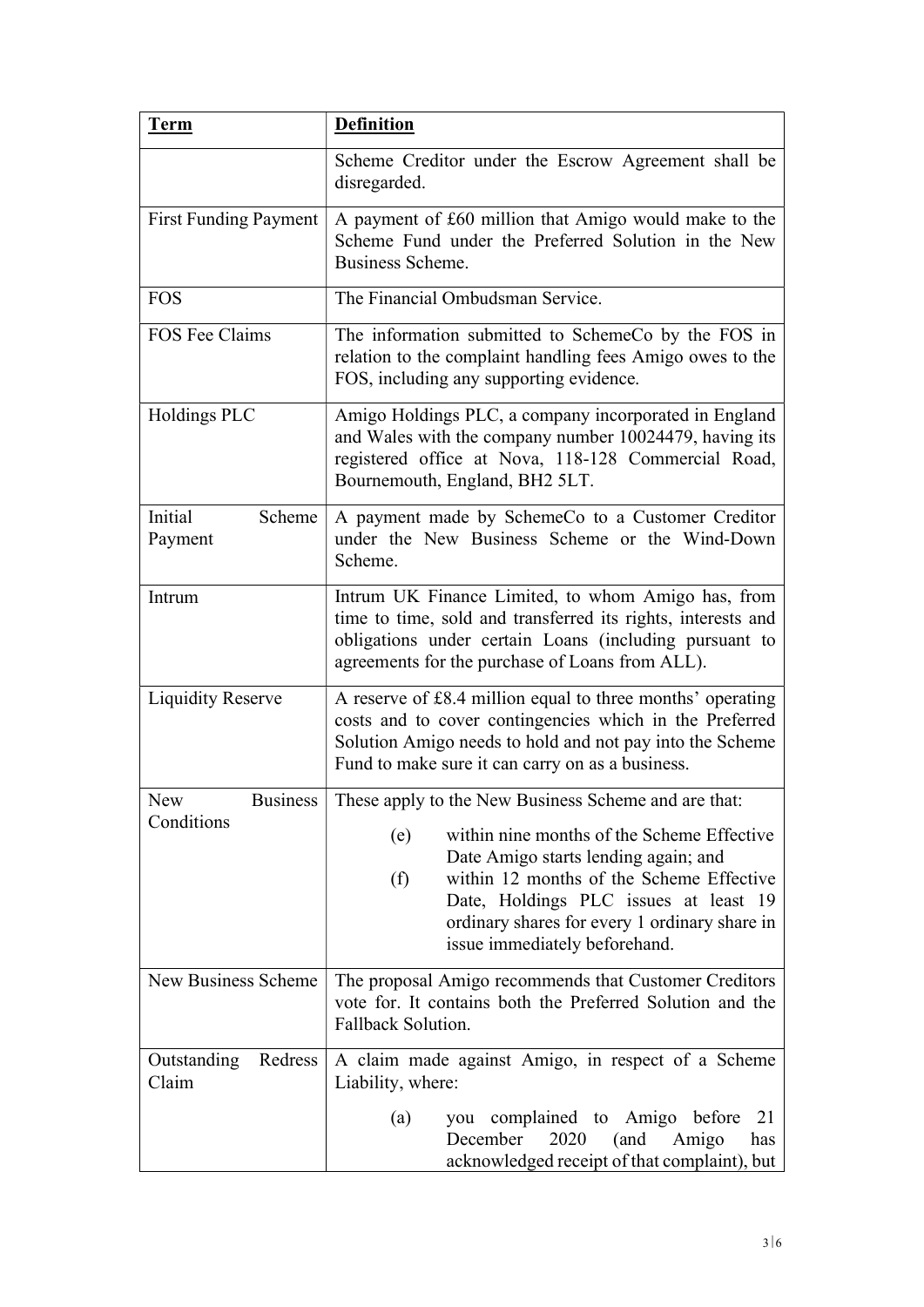| <b>Term</b>                  | <b>Definition</b>                                                                                                                                                                                                                                                       |  |
|------------------------------|-------------------------------------------------------------------------------------------------------------------------------------------------------------------------------------------------------------------------------------------------------------------------|--|
|                              | Scheme Creditor under the Escrow Agreement shall be<br>disregarded.                                                                                                                                                                                                     |  |
| <b>First Funding Payment</b> | A payment of £60 million that Amigo would make to the<br>Scheme Fund under the Preferred Solution in the New<br>Business Scheme.                                                                                                                                        |  |
| <b>FOS</b>                   | The Financial Ombudsman Service.                                                                                                                                                                                                                                        |  |
| FOS Fee Claims               | The information submitted to SchemeCo by the FOS in<br>relation to the complaint handling fees Amigo owes to the<br>FOS, including any supporting evidence.                                                                                                             |  |
| Holdings PLC                 | Amigo Holdings PLC, a company incorporated in England<br>and Wales with the company number 10024479, having its<br>registered office at Nova, 118-128 Commercial Road,<br>Bournemouth, England, BH2 5LT.                                                                |  |
| Initial<br>Scheme<br>Payment | A payment made by SchemeCo to a Customer Creditor<br>under the New Business Scheme or the Wind-Down<br>Scheme.                                                                                                                                                          |  |
| Intrum                       | Intrum UK Finance Limited, to whom Amigo has, from<br>time to time, sold and transferred its rights, interests and<br>obligations under certain Loans (including pursuant to<br>agreements for the purchase of Loans from ALL).                                         |  |
| <b>Liquidity Reserve</b>     | A reserve of £8.4 million equal to three months' operating<br>costs and to cover contingencies which in the Preferred<br>Solution Amigo needs to hold and not pay into the Scheme<br>Fund to make sure it can carry on as a business.                                   |  |
| <b>Business</b><br>New       | These apply to the New Business Scheme and are that:                                                                                                                                                                                                                    |  |
| Conditions                   | within nine months of the Scheme Effective<br>(e)<br>Date Amigo starts lending again; and<br>within 12 months of the Scheme Effective<br>(f)<br>Date, Holdings PLC issues at least 19<br>ordinary shares for every 1 ordinary share in<br>issue immediately beforehand. |  |
| New Business Scheme          | The proposal Amigo recommends that Customer Creditors<br>vote for. It contains both the Preferred Solution and the<br>Fallback Solution.                                                                                                                                |  |
| Outstanding Redress<br>Claim | A claim made against Amigo, in respect of a Scheme<br>Liability, where:                                                                                                                                                                                                 |  |
|                              | you complained to Amigo before<br>(a)<br>21<br>2020<br>December<br>(and<br>Amigo<br>has<br>acknowledged receipt of that complaint), but                                                                                                                                 |  |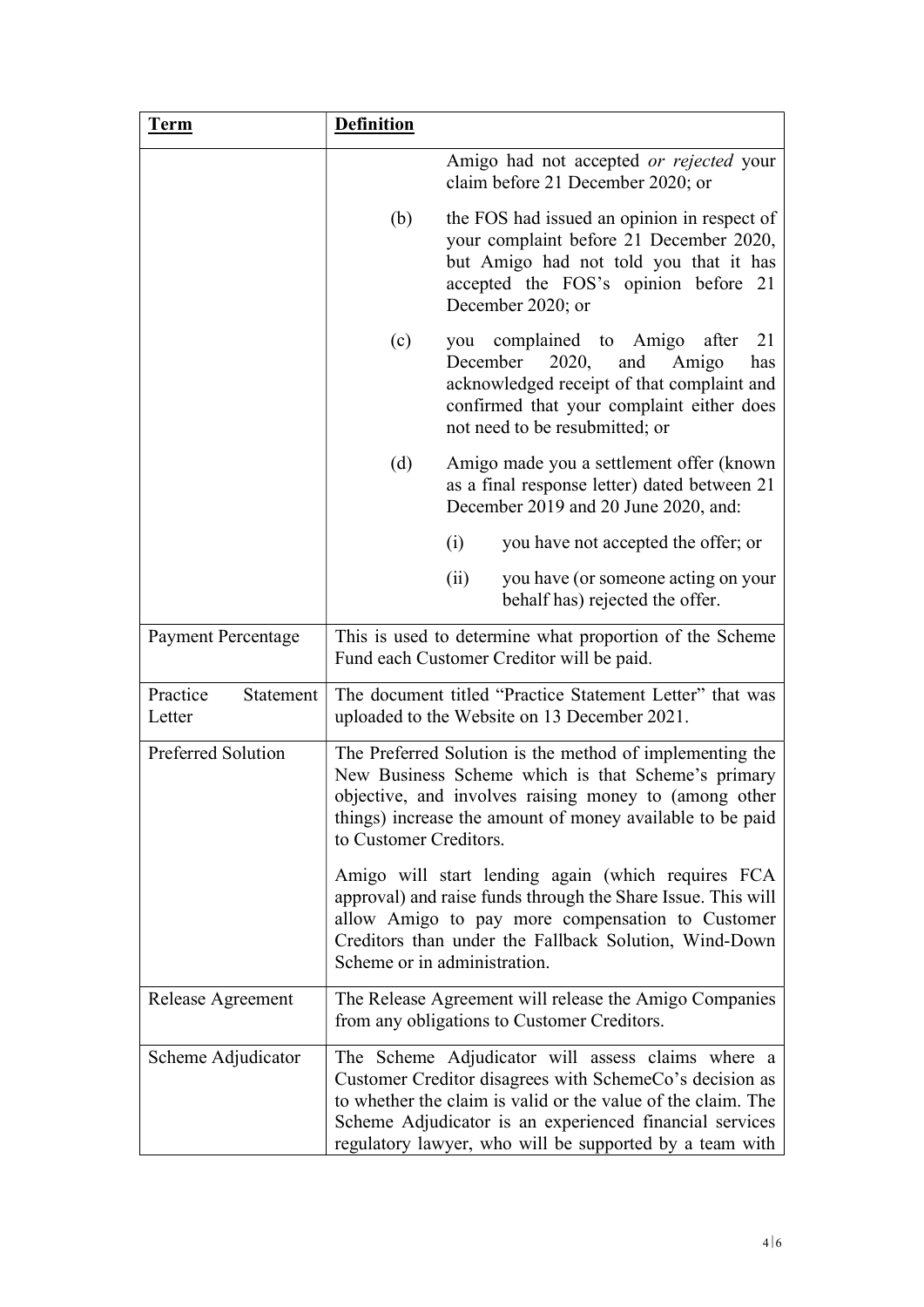| <b>Term</b>                     | <b>Definition</b>                                                                                                                                                                                                                                              |                                                                                                                                                                                                                                                                                                    |
|---------------------------------|----------------------------------------------------------------------------------------------------------------------------------------------------------------------------------------------------------------------------------------------------------------|----------------------------------------------------------------------------------------------------------------------------------------------------------------------------------------------------------------------------------------------------------------------------------------------------|
|                                 |                                                                                                                                                                                                                                                                | Amigo had not accepted or rejected your<br>claim before 21 December 2020; or                                                                                                                                                                                                                       |
|                                 | (b)                                                                                                                                                                                                                                                            | the FOS had issued an opinion in respect of<br>your complaint before 21 December 2020,<br>but Amigo had not told you that it has<br>accepted the FOS's opinion before 21<br>December 2020; or                                                                                                      |
|                                 | (c)                                                                                                                                                                                                                                                            | complained to Amigo after<br>21<br>you<br>December<br>2020,<br>and<br>Amigo<br>has<br>acknowledged receipt of that complaint and<br>confirmed that your complaint either does<br>not need to be resubmitted; or                                                                                    |
|                                 | (d)                                                                                                                                                                                                                                                            | Amigo made you a settlement offer (known<br>as a final response letter) dated between 21<br>December 2019 and 20 June 2020, and:                                                                                                                                                                   |
|                                 |                                                                                                                                                                                                                                                                | (i)<br>you have not accepted the offer; or                                                                                                                                                                                                                                                         |
|                                 |                                                                                                                                                                                                                                                                | (ii)<br>you have (or someone acting on your<br>behalf has) rejected the offer.                                                                                                                                                                                                                     |
| <b>Payment Percentage</b>       |                                                                                                                                                                                                                                                                | This is used to determine what proportion of the Scheme<br>Fund each Customer Creditor will be paid.                                                                                                                                                                                               |
| Practice<br>Statement<br>Letter |                                                                                                                                                                                                                                                                | The document titled "Practice Statement Letter" that was<br>uploaded to the Website on 13 December 2021.                                                                                                                                                                                           |
| Preferred Solution              | The Preferred Solution is the method of implementing the<br>New Business Scheme which is that Scheme's primary<br>objective, and involves raising money to (among other<br>things) increase the amount of money available to be paid<br>to Customer Creditors. |                                                                                                                                                                                                                                                                                                    |
|                                 |                                                                                                                                                                                                                                                                | Amigo will start lending again (which requires FCA<br>approval) and raise funds through the Share Issue. This will<br>allow Amigo to pay more compensation to Customer<br>Creditors than under the Fallback Solution, Wind-Down<br>Scheme or in administration.                                    |
| Release Agreement               |                                                                                                                                                                                                                                                                | The Release Agreement will release the Amigo Companies<br>from any obligations to Customer Creditors.                                                                                                                                                                                              |
| Scheme Adjudicator              |                                                                                                                                                                                                                                                                | The Scheme Adjudicator will assess claims where a<br>Customer Creditor disagrees with SchemeCo's decision as<br>to whether the claim is valid or the value of the claim. The<br>Scheme Adjudicator is an experienced financial services<br>regulatory lawyer, who will be supported by a team with |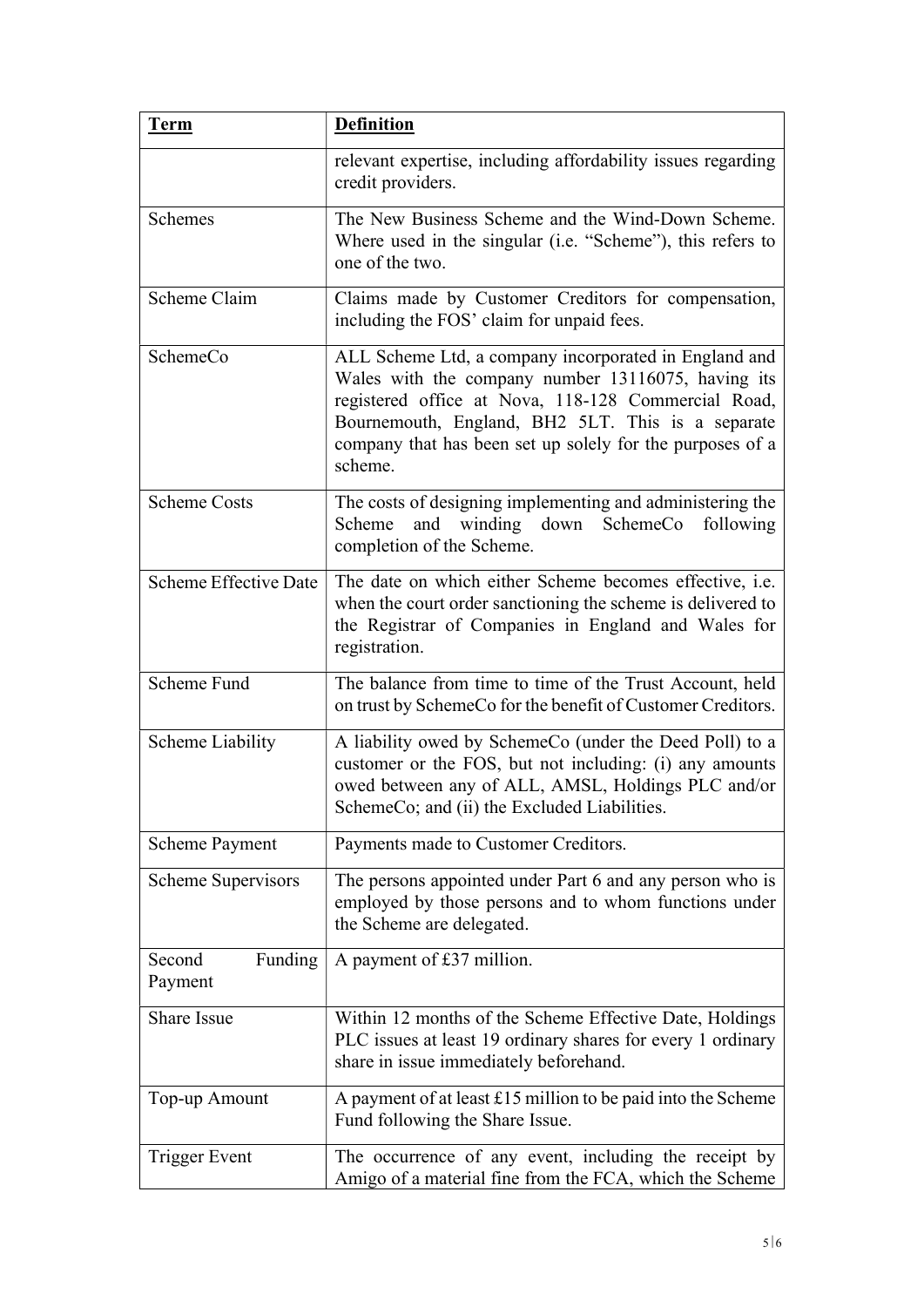| <b>Term</b>                  | <b>Definition</b>                                                                                                                                                                                                                                                                               |
|------------------------------|-------------------------------------------------------------------------------------------------------------------------------------------------------------------------------------------------------------------------------------------------------------------------------------------------|
|                              | relevant expertise, including affordability issues regarding<br>credit providers.                                                                                                                                                                                                               |
| Schemes                      | The New Business Scheme and the Wind-Down Scheme.<br>Where used in the singular (i.e. "Scheme"), this refers to<br>one of the two.                                                                                                                                                              |
| Scheme Claim                 | Claims made by Customer Creditors for compensation,<br>including the FOS' claim for unpaid fees.                                                                                                                                                                                                |
| SchemeCo                     | ALL Scheme Ltd, a company incorporated in England and<br>Wales with the company number 13116075, having its<br>registered office at Nova, 118-128 Commercial Road,<br>Bournemouth, England, BH2 5LT. This is a separate<br>company that has been set up solely for the purposes of a<br>scheme. |
| <b>Scheme Costs</b>          | The costs of designing implementing and administering the<br>Scheme<br>and<br>winding down<br>following<br>SchemeCo<br>completion of the Scheme.                                                                                                                                                |
| <b>Scheme Effective Date</b> | The date on which either Scheme becomes effective, i.e.<br>when the court order sanctioning the scheme is delivered to<br>the Registrar of Companies in England and Wales for<br>registration.                                                                                                  |
| Scheme Fund                  | The balance from time to time of the Trust Account, held<br>on trust by SchemeCo for the benefit of Customer Creditors.                                                                                                                                                                         |
| <b>Scheme Liability</b>      | A liability owed by SchemeCo (under the Deed Poll) to a<br>customer or the FOS, but not including: (i) any amounts<br>owed between any of ALL, AMSL, Holdings PLC and/or<br>SchemeCo; and (ii) the Excluded Liabilities.                                                                        |
| <b>Scheme Payment</b>        | Payments made to Customer Creditors.                                                                                                                                                                                                                                                            |
| <b>Scheme Supervisors</b>    | The persons appointed under Part 6 and any person who is<br>employed by those persons and to whom functions under<br>the Scheme are delegated.                                                                                                                                                  |
| Funding<br>Second<br>Payment | A payment of £37 million.                                                                                                                                                                                                                                                                       |
| Share Issue                  | Within 12 months of the Scheme Effective Date, Holdings<br>PLC issues at least 19 ordinary shares for every 1 ordinary<br>share in issue immediately beforehand.                                                                                                                                |
| Top-up Amount                | A payment of at least $£15$ million to be paid into the Scheme<br>Fund following the Share Issue.                                                                                                                                                                                               |
| <b>Trigger Event</b>         | The occurrence of any event, including the receipt by<br>Amigo of a material fine from the FCA, which the Scheme                                                                                                                                                                                |